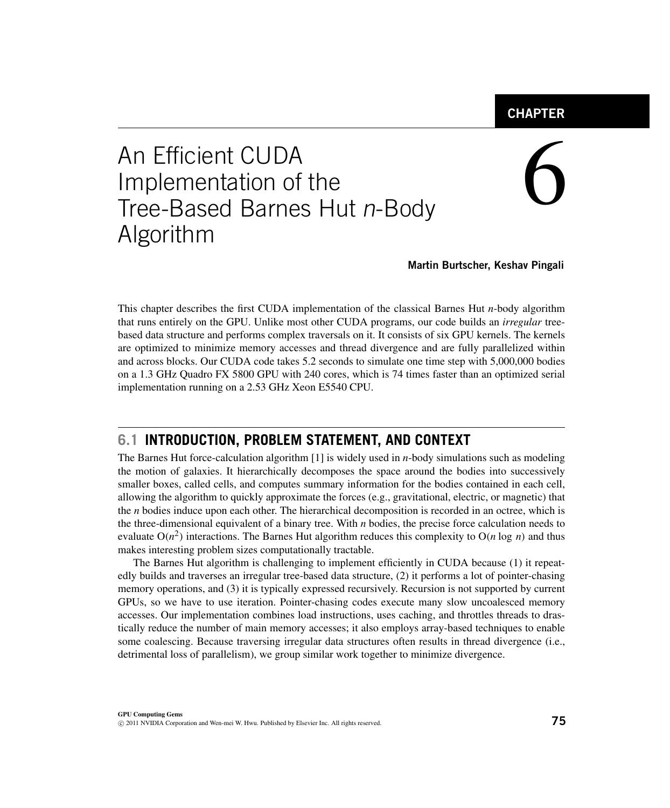# **CHAPTER**

6

# An Efficient CUDA Implementation of the Tree-Based Barnes Hut n-Body Algorithm

#### **Martin Burtscher, Keshav Pingali**

This chapter describes the first CUDA implementation of the classical Barnes Hut *n*-body algorithm that runs entirely on the GPU. Unlike most other CUDA programs, our code builds an *irregular* treebased data structure and performs complex traversals on it. It consists of six GPU kernels. The kernels are optimized to minimize memory accesses and thread divergence and are fully parallelized within and across blocks. Our CUDA code takes 5.2 seconds to simulate one time step with 5,000,000 bodies on a 1.3 GHz Quadro FX 5800 GPU with 240 cores, which is 74 times faster than an optimized serial implementation running on a 2.53 GHz Xeon E5540 CPU.

# **6.1 INTRODUCTION, PROBLEM STATEMENT, AND CONTEXT**

The Barnes Hut force-calculation algorithm [1] is widely used in *n*-body simulations such as modeling the motion of galaxies. It hierarchically decomposes the space around the bodies into successively smaller boxes, called cells, and computes summary information for the bodies contained in each cell, allowing the algorithm to quickly approximate the forces (e.g., gravitational, electric, or magnetic) that the *n* bodies induce upon each other. The hierarchical decomposition is recorded in an octree, which is the three-dimensional equivalent of a binary tree. With *n* bodies, the precise force calculation needs to evaluate  $O(n^2)$  interactions. The Barnes Hut algorithm reduces this complexity to  $O(n \log n)$  and thus makes interesting problem sizes computationally tractable.

The Barnes Hut algorithm is challenging to implement efficiently in CUDA because (1) it repeatedly builds and traverses an irregular tree-based data structure, (2) it performs a lot of pointer-chasing memory operations, and (3) it is typically expressed recursively. Recursion is not supported by current GPUs, so we have to use iteration. Pointer-chasing codes execute many slow uncoalesced memory accesses. Our implementation combines load instructions, uses caching, and throttles threads to drastically reduce the number of main memory accesses; it also employs array-based techniques to enable some coalescing. Because traversing irregular data structures often results in thread divergence (i.e., detrimental loss of parallelism), we group similar work together to minimize divergence.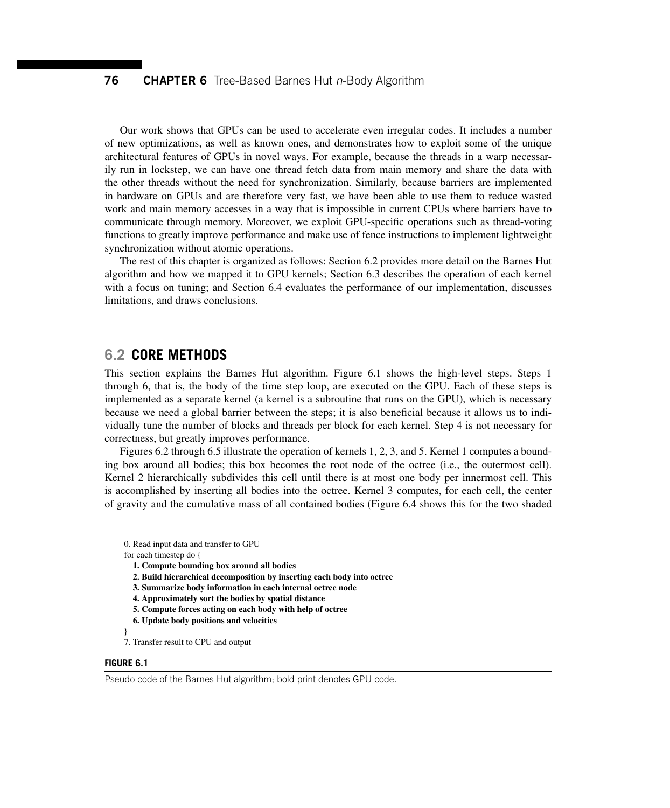Our work shows that GPUs can be used to accelerate even irregular codes. It includes a number of new optimizations, as well as known ones, and demonstrates how to exploit some of the unique architectural features of GPUs in novel ways. For example, because the threads in a warp necessarily run in lockstep, we can have one thread fetch data from main memory and share the data with the other threads without the need for synchronization. Similarly, because barriers are implemented in hardware on GPUs and are therefore very fast, we have been able to use them to reduce wasted work and main memory accesses in a way that is impossible in current CPUs where barriers have to communicate through memory. Moreover, we exploit GPU-specific operations such as thread-voting functions to greatly improve performance and make use of fence instructions to implement lightweight synchronization without atomic operations.

The rest of this chapter is organized as follows: Section 6.2 provides more detail on the Barnes Hut algorithm and how we mapped it to GPU kernels; Section 6.3 describes the operation of each kernel with a focus on tuning; and Section 6.4 evaluates the performance of our implementation, discusses limitations, and draws conclusions.

# **6.2 CORE METHODS**

This section explains the Barnes Hut algorithm. Figure 6.1 shows the high-level steps. Steps 1 through 6, that is, the body of the time step loop, are executed on the GPU. Each of these steps is implemented as a separate kernel (a kernel is a subroutine that runs on the GPU), which is necessary because we need a global barrier between the steps; it is also beneficial because it allows us to individually tune the number of blocks and threads per block for each kernel. Step 4 is not necessary for correctness, but greatly improves performance.

Figures 6.2 through 6.5 illustrate the operation of kernels 1, 2, 3, and 5. Kernel 1 computes a bounding box around all bodies; this box becomes the root node of the octree (i.e., the outermost cell). Kernel 2 hierarchically subdivides this cell until there is at most one body per innermost cell. This is accomplished by inserting all bodies into the octree. Kernel 3 computes, for each cell, the center of gravity and the cumulative mass of all contained bodies (Figure 6.4 shows this for the two shaded

```
0. Read input data and transfer to GPU
for each timestep do {
  1. Compute bounding box around all bodies
  2. Build hierarchical decomposition by inserting each body into octree
  3. Summarize body information in each internal octree node
  4. Approximately sort the bodies by spatial distance
  5. Compute forces acting on each body with help of octree
  6. Update body positions and velocities
```
}

7. Transfer result to CPU and output

#### **FIGURE 6.1**

Pseudo code of the Barnes Hut algorithm; bold print denotes GPU code.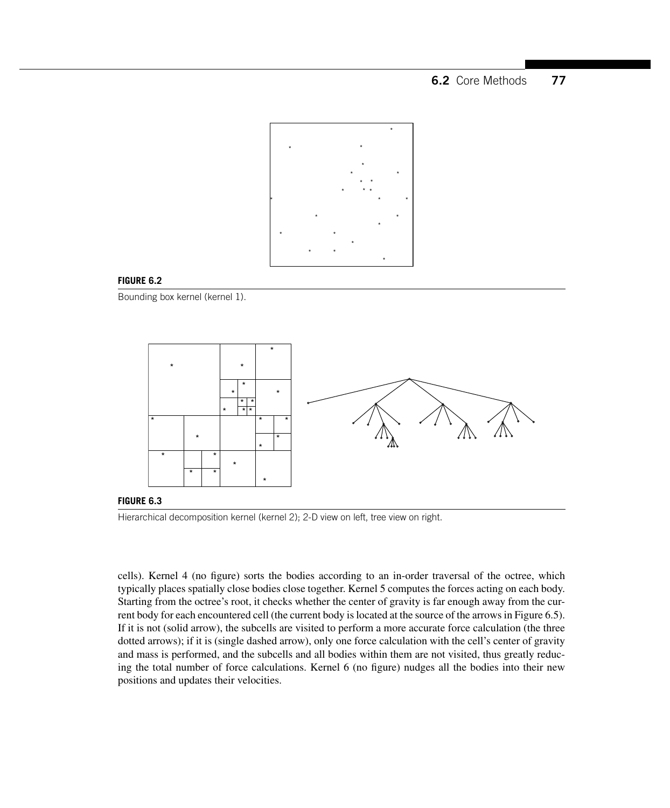

### **FIGURE 6.2**

Bounding box kernel (kernel 1).



#### **FIGURE 6.3**

Hierarchical decomposition kernel (kernel 2); 2-D view on left, tree view on right.

cells). Kernel 4 (no figure) sorts the bodies according to an in-order traversal of the octree, which typically places spatially close bodies close together. Kernel 5 computes the forces acting on each body. Starting from the octree's root, it checks whether the center of gravity is far enough away from the current body for each encountered cell (the current body is located at the source of the arrows in Figure 6.5). If it is not (solid arrow), the subcells are visited to perform a more accurate force calculation (the three dotted arrows); if it is (single dashed arrow), only one force calculation with the cell's center of gravity and mass is performed, and the subcells and all bodies within them are not visited, thus greatly reducing the total number of force calculations. Kernel 6 (no figure) nudges all the bodies into their new positions and updates their velocities.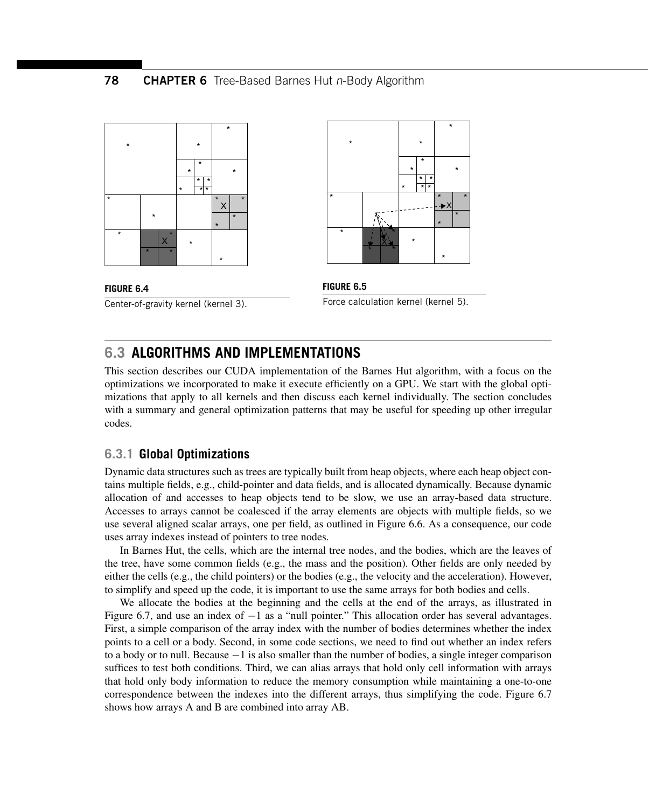



**FIGURE 6.4** Center-of-gravity kernel (kernel 3).



Force calculation kernel (kernel 5).

# **6.3 ALGORITHMS AND IMPLEMENTATIONS**

This section describes our CUDA implementation of the Barnes Hut algorithm, with a focus on the optimizations we incorporated to make it execute efficiently on a GPU. We start with the global optimizations that apply to all kernels and then discuss each kernel individually. The section concludes with a summary and general optimization patterns that may be useful for speeding up other irregular codes.

# **6.3.1 Global Optimizations**

Dynamic data structures such as trees are typically built from heap objects, where each heap object contains multiple fields, e.g., child-pointer and data fields, and is allocated dynamically. Because dynamic allocation of and accesses to heap objects tend to be slow, we use an array-based data structure. Accesses to arrays cannot be coalesced if the array elements are objects with multiple fields, so we use several aligned scalar arrays, one per field, as outlined in Figure 6.6. As a consequence, our code uses array indexes instead of pointers to tree nodes.

In Barnes Hut, the cells, which are the internal tree nodes, and the bodies, which are the leaves of the tree, have some common fields (e.g., the mass and the position). Other fields are only needed by either the cells (e.g., the child pointers) or the bodies (e.g., the velocity and the acceleration). However, to simplify and speed up the code, it is important to use the same arrays for both bodies and cells.

We allocate the bodies at the beginning and the cells at the end of the arrays, as illustrated in Figure 6.7, and use an index of  $-1$  as a "null pointer." This allocation order has several advantages. First, a simple comparison of the array index with the number of bodies determines whether the index points to a cell or a body. Second, in some code sections, we need to find out whether an index refers to a body or to null. Because −1 is also smaller than the number of bodies, a single integer comparison suffices to test both conditions. Third, we can alias arrays that hold only cell information with arrays that hold only body information to reduce the memory consumption while maintaining a one-to-one correspondence between the indexes into the different arrays, thus simplifying the code. Figure 6.7 shows how arrays A and B are combined into array AB.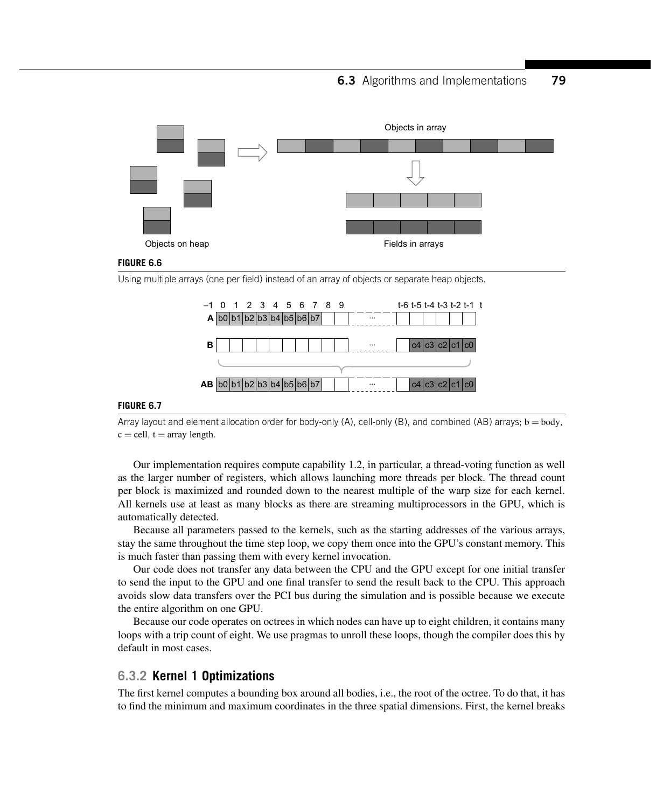

#### **FIGURE 6.6**

Using multiple arrays (one per field) instead of an array of objects or separate heap objects.



#### **FIGURE 6.7**

Array layout and element allocation order for body-only (A), cell-only (B), and combined (AB) arrays;  $b = body$ ,  $c =$  cell,  $t =$  array length.

Our implementation requires compute capability 1.2, in particular, a thread-voting function as well as the larger number of registers, which allows launching more threads per block. The thread count per block is maximized and rounded down to the nearest multiple of the warp size for each kernel. All kernels use at least as many blocks as there are streaming multiprocessors in the GPU, which is automatically detected.

Because all parameters passed to the kernels, such as the starting addresses of the various arrays, stay the same throughout the time step loop, we copy them once into the GPU's constant memory. This is much faster than passing them with every kernel invocation.

Our code does not transfer any data between the CPU and the GPU except for one initial transfer to send the input to the GPU and one final transfer to send the result back to the CPU. This approach avoids slow data transfers over the PCI bus during the simulation and is possible because we execute the entire algorithm on one GPU.

Because our code operates on octrees in which nodes can have up to eight children, it contains many loops with a trip count of eight. We use pragmas to unroll these loops, though the compiler does this by default in most cases.

### **6.3.2 Kernel 1 Optimizations**

The first kernel computes a bounding box around all bodies, i.e., the root of the octree. To do that, it has to find the minimum and maximum coordinates in the three spatial dimensions. First, the kernel breaks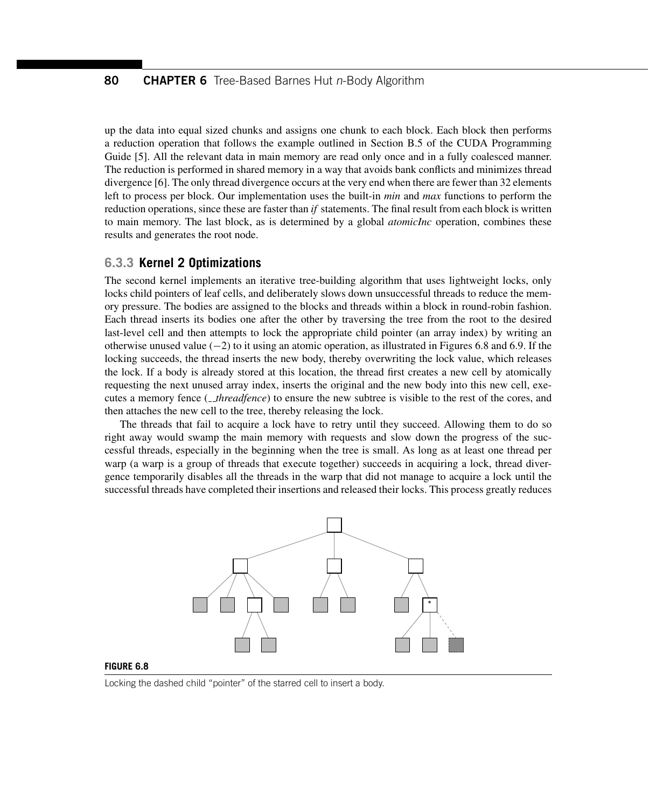up the data into equal sized chunks and assigns one chunk to each block. Each block then performs a reduction operation that follows the example outlined in Section B.5 of the CUDA Programming Guide [5]. All the relevant data in main memory are read only once and in a fully coalesced manner. The reduction is performed in shared memory in a way that avoids bank conflicts and minimizes thread divergence [6]. The only thread divergence occurs at the very end when there are fewer than 32 elements left to process per block. Our implementation uses the built-in *min* and *max* functions to perform the reduction operations, since these are faster than *if* statements. The final result from each block is written to main memory. The last block, as is determined by a global *atomicInc* operation, combines these results and generates the root node.

## **6.3.3 Kernel 2 Optimizations**

The second kernel implements an iterative tree-building algorithm that uses lightweight locks, only locks child pointers of leaf cells, and deliberately slows down unsuccessful threads to reduce the memory pressure. The bodies are assigned to the blocks and threads within a block in round-robin fashion. Each thread inserts its bodies one after the other by traversing the tree from the root to the desired last-level cell and then attempts to lock the appropriate child pointer (an array index) by writing an otherwise unused value (−2) to it using an atomic operation, as illustrated in Figures 6.8 and 6.9. If the locking succeeds, the thread inserts the new body, thereby overwriting the lock value, which releases the lock. If a body is already stored at this location, the thread first creates a new cell by atomically requesting the next unused array index, inserts the original and the new body into this new cell, executes a memory fence (*\_threadfence*) to ensure the new subtree is visible to the rest of the cores, and then attaches the new cell to the tree, thereby releasing the lock.

The threads that fail to acquire a lock have to retry until they succeed. Allowing them to do so right away would swamp the main memory with requests and slow down the progress of the successful threads, especially in the beginning when the tree is small. As long as at least one thread per warp (a warp is a group of threads that execute together) succeeds in acquiring a lock, thread divergence temporarily disables all the threads in the warp that did not manage to acquire a lock until the successful threads have completed their insertions and released their locks. This process greatly reduces



#### **FIGURE 6.8**

Locking the dashed child "pointer" of the starred cell to insert a body.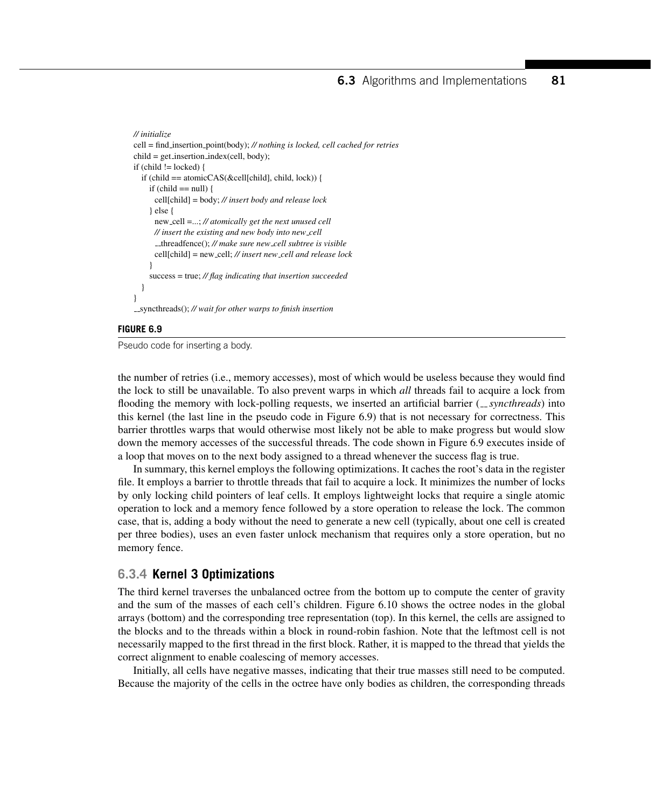```
// initialize
cell = find insertion point(body); // nothing is locked, cell cached for retries
child = get insertion index(cell, body);
if (child != locked) {
  if (child == atomicCAS(&cell[child], child, lock)) {
    if (child == null) {
      cell[child] = body; // insert body and release lock
    } else {
      new cell =...; // atomically get the next unused cell
      // insert the existing and new body into new cell
      threadfence(); // make sure new cell subtree is visible
      cell[child] = new cell; // insert new cell and release lock
     }
     success = true; // flag indicating that insertion succeeded
  }
}
```
syncthreads(); *// wait for other warps to finish insertion*

#### **FIGURE 6.9**

Pseudo code for inserting a body.

the number of retries (i.e., memory accesses), most of which would be useless because they would find the lock to still be unavailable. To also prevent warps in which *all* threads fail to acquire a lock from flooding the memory with lock-polling requests, we inserted an artificial barrier (*syncthreads*) into this kernel (the last line in the pseudo code in Figure 6.9) that is not necessary for correctness. This barrier throttles warps that would otherwise most likely not be able to make progress but would slow down the memory accesses of the successful threads. The code shown in Figure 6.9 executes inside of a loop that moves on to the next body assigned to a thread whenever the success flag is true.

In summary, this kernel employs the following optimizations. It caches the root's data in the register file. It employs a barrier to throttle threads that fail to acquire a lock. It minimizes the number of locks by only locking child pointers of leaf cells. It employs lightweight locks that require a single atomic operation to lock and a memory fence followed by a store operation to release the lock. The common case, that is, adding a body without the need to generate a new cell (typically, about one cell is created per three bodies), uses an even faster unlock mechanism that requires only a store operation, but no memory fence.

### **6.3.4 Kernel 3 Optimizations**

The third kernel traverses the unbalanced octree from the bottom up to compute the center of gravity and the sum of the masses of each cell's children. Figure 6.10 shows the octree nodes in the global arrays (bottom) and the corresponding tree representation (top). In this kernel, the cells are assigned to the blocks and to the threads within a block in round-robin fashion. Note that the leftmost cell is not necessarily mapped to the first thread in the first block. Rather, it is mapped to the thread that yields the correct alignment to enable coalescing of memory accesses.

Initially, all cells have negative masses, indicating that their true masses still need to be computed. Because the majority of the cells in the octree have only bodies as children, the corresponding threads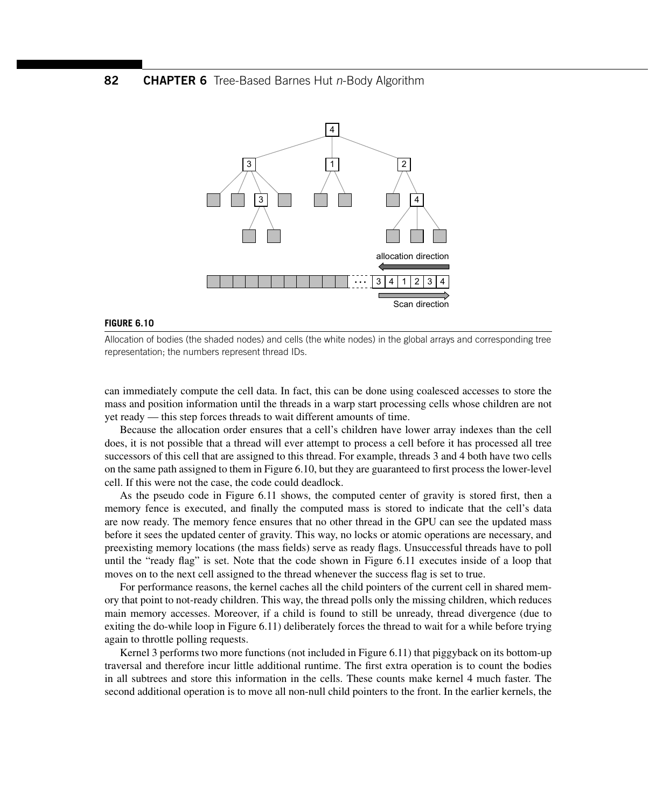

#### **FIGURE 6.10**

Allocation of bodies (the shaded nodes) and cells (the white nodes) in the global arrays and corresponding tree representation; the numbers represent thread IDs.

can immediately compute the cell data. In fact, this can be done using coalesced accesses to store the mass and position information until the threads in a warp start processing cells whose children are not yet ready — this step forces threads to wait different amounts of time.

Because the allocation order ensures that a cell's children have lower array indexes than the cell does, it is not possible that a thread will ever attempt to process a cell before it has processed all tree successors of this cell that are assigned to this thread. For example, threads 3 and 4 both have two cells on the same path assigned to them in Figure 6.10, but they are guaranteed to first process the lower-level cell. If this were not the case, the code could deadlock.

As the pseudo code in Figure 6.11 shows, the computed center of gravity is stored first, then a memory fence is executed, and finally the computed mass is stored to indicate that the cell's data are now ready. The memory fence ensures that no other thread in the GPU can see the updated mass before it sees the updated center of gravity. This way, no locks or atomic operations are necessary, and preexisting memory locations (the mass fields) serve as ready flags. Unsuccessful threads have to poll until the "ready flag" is set. Note that the code shown in Figure 6.11 executes inside of a loop that moves on to the next cell assigned to the thread whenever the success flag is set to true.

For performance reasons, the kernel caches all the child pointers of the current cell in shared memory that point to not-ready children. This way, the thread polls only the missing children, which reduces main memory accesses. Moreover, if a child is found to still be unready, thread divergence (due to exiting the do-while loop in Figure 6.11) deliberately forces the thread to wait for a while before trying again to throttle polling requests.

Kernel 3 performs two more functions (not included in Figure 6.11) that piggyback on its bottom-up traversal and therefore incur little additional runtime. The first extra operation is to count the bodies in all subtrees and store this information in the cells. These counts make kernel 4 much faster. The second additional operation is to move all non-null child pointers to the front. In the earlier kernels, the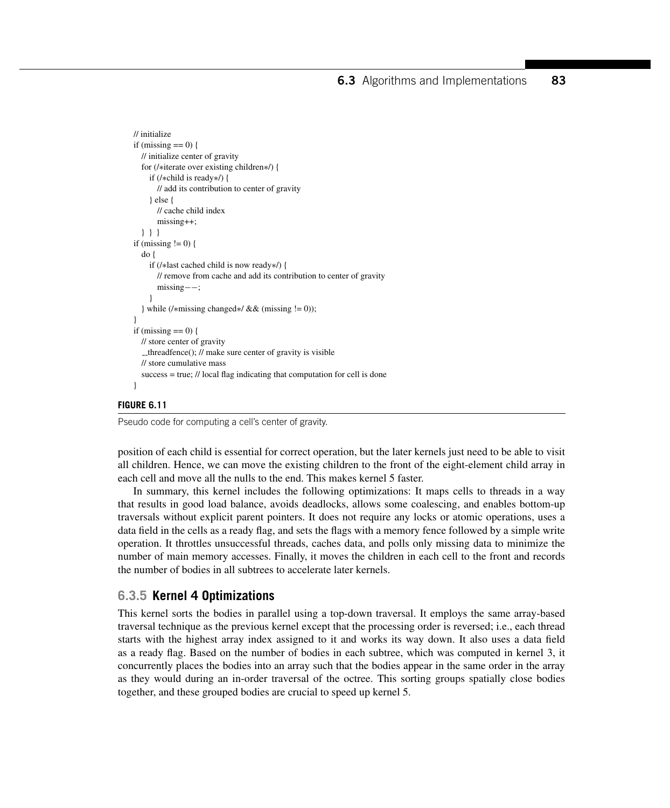```
// initialize
if (missing == 0) {
  // initialize center of gravity
  for (/∗iterate over existing children∗/) {
    if (/∗child is ready∗/) {
       // add its contribution to center of gravity
    } else {
       // cache child index
       missing++;
  } } }
if (missing != 0) {
  do {
    if (/∗last cached child is now ready∗/) {
       // remove from cache and add its contribution to center of gravity
       missing−−;
     }
  } while (/∗missing changed∗/ && (missing != 0));
}
if (missing == 0) {
  // store center of gravity
  \text{\textendash} threadfence(); // make sure center of gravity is visible
  // store cumulative mass
  success = true; // local flag indicating that computation for cell is done
}
```
### **FIGURE 6.11**

Pseudo code for computing a cell's center of gravity.

position of each child is essential for correct operation, but the later kernels just need to be able to visit all children. Hence, we can move the existing children to the front of the eight-element child array in each cell and move all the nulls to the end. This makes kernel 5 faster.

In summary, this kernel includes the following optimizations: It maps cells to threads in a way that results in good load balance, avoids deadlocks, allows some coalescing, and enables bottom-up traversals without explicit parent pointers. It does not require any locks or atomic operations, uses a data field in the cells as a ready flag, and sets the flags with a memory fence followed by a simple write operation. It throttles unsuccessful threads, caches data, and polls only missing data to minimize the number of main memory accesses. Finally, it moves the children in each cell to the front and records the number of bodies in all subtrees to accelerate later kernels.

# **6.3.5 Kernel 4 Optimizations**

This kernel sorts the bodies in parallel using a top-down traversal. It employs the same array-based traversal technique as the previous kernel except that the processing order is reversed; i.e., each thread starts with the highest array index assigned to it and works its way down. It also uses a data field as a ready flag. Based on the number of bodies in each subtree, which was computed in kernel 3, it concurrently places the bodies into an array such that the bodies appear in the same order in the array as they would during an in-order traversal of the octree. This sorting groups spatially close bodies together, and these grouped bodies are crucial to speed up kernel 5.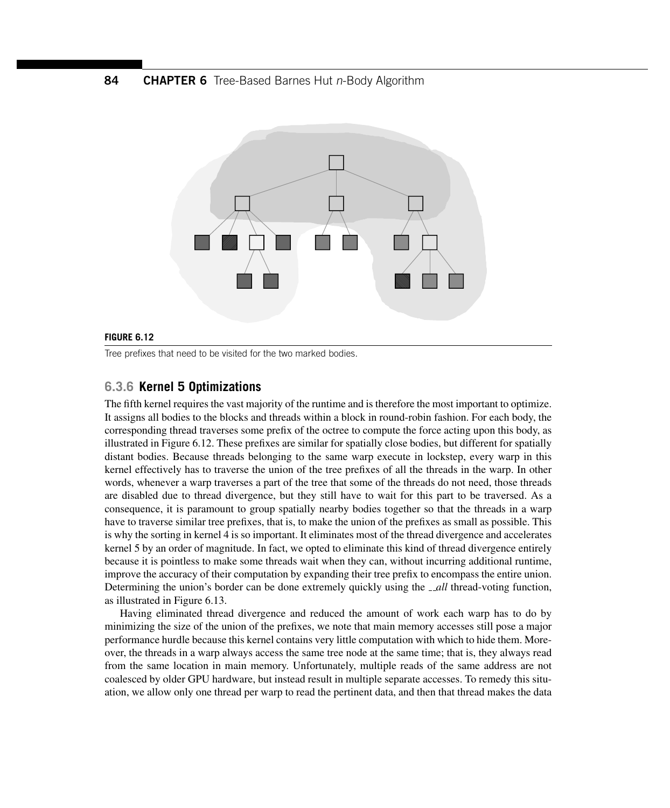

#### **FIGURE 6.12**

Tree prefixes that need to be visited for the two marked bodies.

# **6.3.6 Kernel 5 Optimizations**

The fifth kernel requires the vast majority of the runtime and is therefore the most important to optimize. It assigns all bodies to the blocks and threads within a block in round-robin fashion. For each body, the corresponding thread traverses some prefix of the octree to compute the force acting upon this body, as illustrated in Figure 6.12. These prefixes are similar for spatially close bodies, but different for spatially distant bodies. Because threads belonging to the same warp execute in lockstep, every warp in this kernel effectively has to traverse the union of the tree prefixes of all the threads in the warp. In other words, whenever a warp traverses a part of the tree that some of the threads do not need, those threads are disabled due to thread divergence, but they still have to wait for this part to be traversed. As a consequence, it is paramount to group spatially nearby bodies together so that the threads in a warp have to traverse similar tree prefixes, that is, to make the union of the prefixes as small as possible. This is why the sorting in kernel 4 is so important. It eliminates most of the thread divergence and accelerates kernel 5 by an order of magnitude. In fact, we opted to eliminate this kind of thread divergence entirely because it is pointless to make some threads wait when they can, without incurring additional runtime, improve the accuracy of their computation by expanding their tree prefix to encompass the entire union. Determining the union's border can be done extremely quickly using the *\_all* thread-voting function, as illustrated in Figure 6.13.

Having eliminated thread divergence and reduced the amount of work each warp has to do by minimizing the size of the union of the prefixes, we note that main memory accesses still pose a major performance hurdle because this kernel contains very little computation with which to hide them. Moreover, the threads in a warp always access the same tree node at the same time; that is, they always read from the same location in main memory. Unfortunately, multiple reads of the same address are not coalesced by older GPU hardware, but instead result in multiple separate accesses. To remedy this situation, we allow only one thread per warp to read the pertinent data, and then that thread makes the data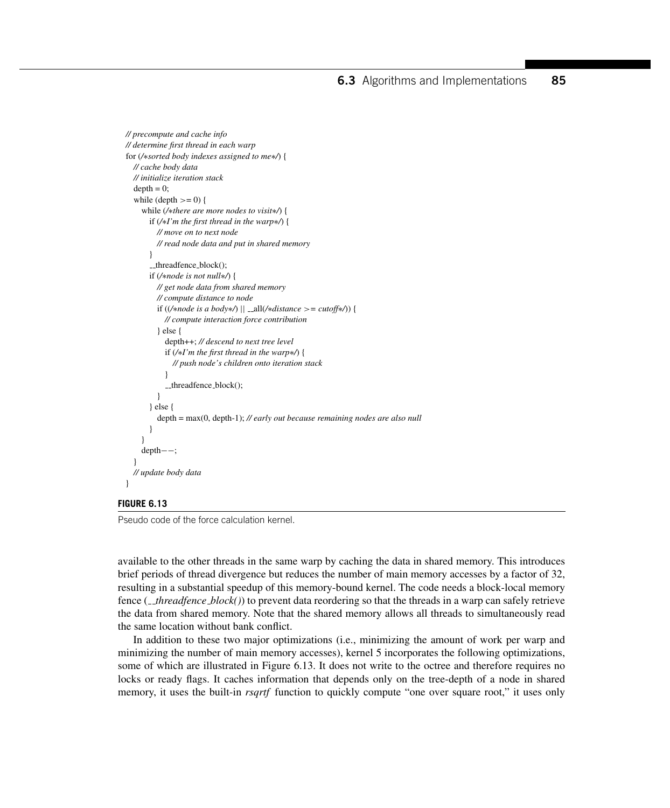```
// precompute and cache info
// determine first thread in each warp
for (/∗sorted body indexes assigned to me∗/) {
  // cache body data
  // initialize iteration stack
  depth = 0;
  while (depth >= 0) {
    while (/∗there are more nodes to visit∗/) {
      if (/∗I'm the first thread in the warp∗/) {
         // move on to next node
         // read node data and put in shared memory
      }
       threadfence block();
      if (/∗node is not null∗/) {
         // get node data from shared memory
         // compute distance to node
         if ((/∗node is a body∗/) || all(/∗distance >= cutoff∗/)) {
           // compute interaction force contribution
         } else {
           depth++; // descend to next tree level
           if (/∗I'm the first thread in the warp∗/) {
             // push node's children onto iteration stack
           }
           _threadfence_block();
         }
      } else {
         depth = max(0, depth-1); // early out because remaining nodes are also null
      }
    }
    depth−−;
  }
  // update body data
}
```
#### **FIGURE 6.13**

Pseudo code of the force calculation kernel.

available to the other threads in the same warp by caching the data in shared memory. This introduces brief periods of thread divergence but reduces the number of main memory accesses by a factor of 32, resulting in a substantial speedup of this memory-bound kernel. The code needs a block-local memory fence ( *threadfence block()*) to prevent data reordering so that the threads in a warp can safely retrieve the data from shared memory. Note that the shared memory allows all threads to simultaneously read the same location without bank conflict.

In addition to these two major optimizations (i.e., minimizing the amount of work per warp and minimizing the number of main memory accesses), kernel 5 incorporates the following optimizations, some of which are illustrated in Figure 6.13. It does not write to the octree and therefore requires no locks or ready flags. It caches information that depends only on the tree-depth of a node in shared memory, it uses the built-in *rsqrtf* function to quickly compute "one over square root," it uses only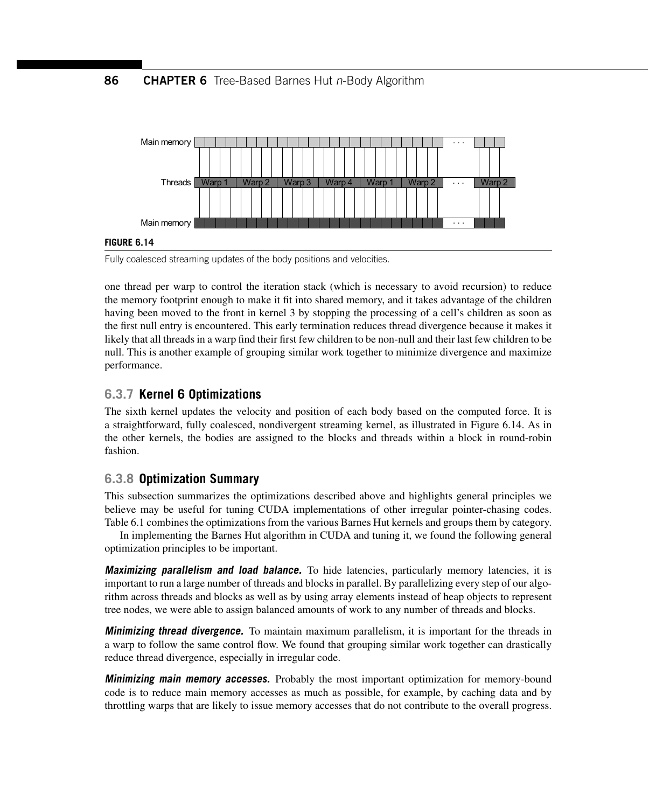

#### **FIGURE 6.14**

Fully coalesced streaming updates of the body positions and velocities.

one thread per warp to control the iteration stack (which is necessary to avoid recursion) to reduce the memory footprint enough to make it fit into shared memory, and it takes advantage of the children having been moved to the front in kernel 3 by stopping the processing of a cell's children as soon as the first null entry is encountered. This early termination reduces thread divergence because it makes it likely that all threads in a warp find their first few children to be non-null and their last few children to be null. This is another example of grouping similar work together to minimize divergence and maximize performance.

# **6.3.7 Kernel 6 Optimizations**

The sixth kernel updates the velocity and position of each body based on the computed force. It is a straightforward, fully coalesced, nondivergent streaming kernel, as illustrated in Figure 6.14. As in the other kernels, the bodies are assigned to the blocks and threads within a block in round-robin fashion.

# **6.3.8 Optimization Summary**

This subsection summarizes the optimizations described above and highlights general principles we believe may be useful for tuning CUDA implementations of other irregular pointer-chasing codes. Table 6.1 combines the optimizations from the various Barnes Hut kernels and groups them by category.

In implementing the Barnes Hut algorithm in CUDA and tuning it, we found the following general optimization principles to be important.

**Maximizing parallelism and load balance.** To hide latencies, particularly memory latencies, it is important to run a large number of threads and blocks in parallel. By parallelizing every step of our algorithm across threads and blocks as well as by using array elements instead of heap objects to represent tree nodes, we were able to assign balanced amounts of work to any number of threads and blocks.

**Minimizing thread divergence.** To maintain maximum parallelism, it is important for the threads in a warp to follow the same control flow. We found that grouping similar work together can drastically reduce thread divergence, especially in irregular code.

**Minimizing main memory accesses.** Probably the most important optimization for memory-bound code is to reduce main memory accesses as much as possible, for example, by caching data and by throttling warps that are likely to issue memory accesses that do not contribute to the overall progress.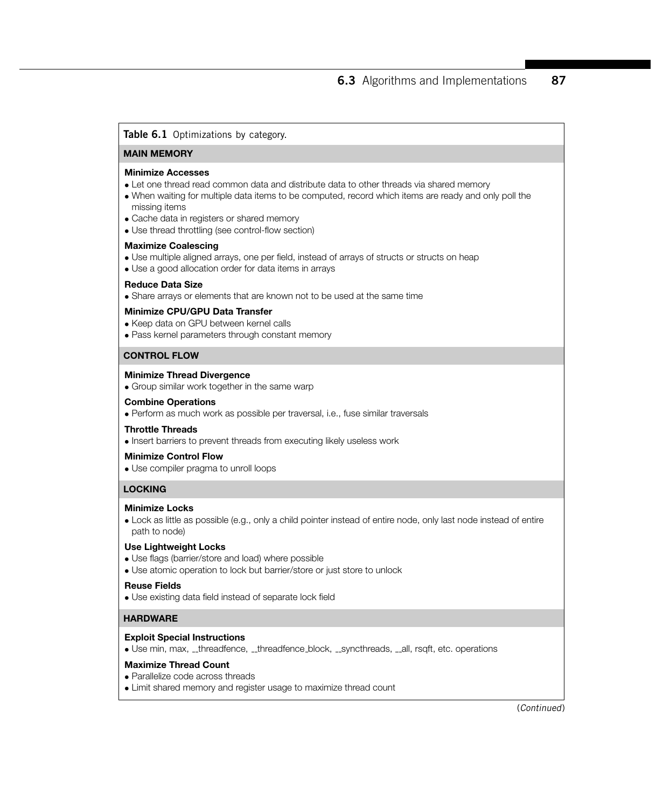#### Table 6.1 Optimizations by category.

#### **MAIN MEMORY**

#### **Minimize Accesses**

- Let one thread read common data and distribute data to other threads via shared memory
- When waiting for multiple data items to be computed, record which items are ready and only poll the missing items
- Cache data in registers or shared memory
- Use thread throttling (see control-flow section)

#### **Maximize Coalescing**

- Use multiple aligned arrays, one per field, instead of arrays of structs or structs on heap
- Use a good allocation order for data items in arrays

#### **Reduce Data Size**

• Share arrays or elements that are known not to be used at the same time

#### **Minimize CPU/GPU Data Transfer**

- Keep data on GPU between kernel calls
- Pass kernel parameters through constant memory

#### **CONTROL FLOW**

#### **Minimize Thread Divergence**

• Group similar work together in the same warp

#### **Combine Operations**

• Perform as much work as possible per traversal, i.e., fuse similar traversals

#### **Throttle Threads**

• Insert barriers to prevent threads from executing likely useless work

#### **Minimize Control Flow**

• Use compiler pragma to unroll loops

#### **LOCKING**

#### **Minimize Locks**

• Lock as little as possible (e.g., only a child pointer instead of entire node, only last node instead of entire path to node)

#### **Use Lightweight Locks**

- Use flags (barrier/store and load) where possible
- Use atomic operation to lock but barrier/store or just store to unlock

#### **Reuse Fields**

• Use existing data field instead of separate lock field

#### **HARDWARE**

#### **Exploit Special Instructions**

• Use min, max, \_\_threadfence, \_\_threadfence\_block, \_\_syncthreads, \_\_all, rsqft, etc. operations

#### **Maximize Thread Count**

- Parallelize code across threads
- Limit shared memory and register usage to maximize thread count

(Continued)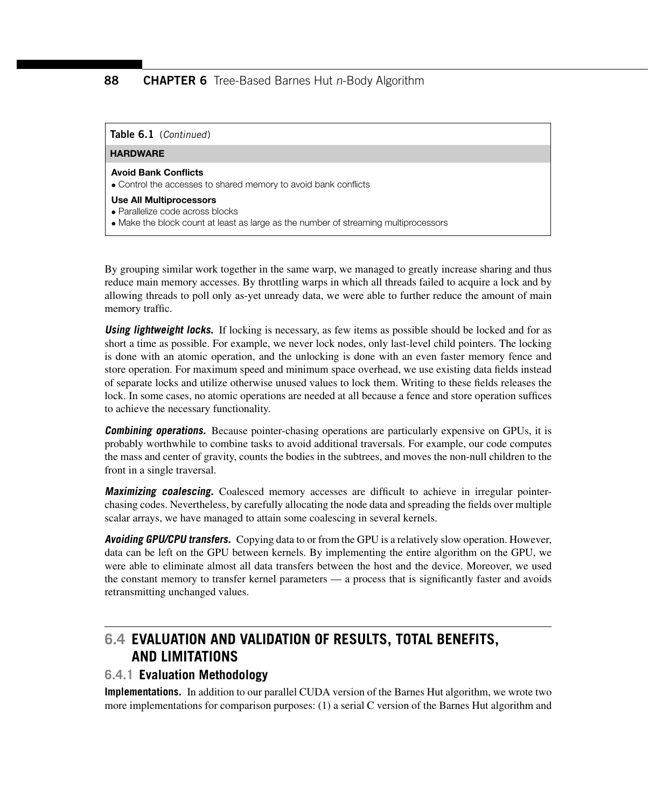| <b>Table 6.1</b> (Continued)                                                                                                                              |
|-----------------------------------------------------------------------------------------------------------------------------------------------------------|
| <b>HARDWARE</b>                                                                                                                                           |
| <b>Avoid Bank Conflicts</b><br>• Control the accesses to shared memory to avoid bank conflicts                                                            |
| <b>Use All Multiprocessors</b><br>• Parallelize code across blocks<br>• Make the block count at least as large as the number of streaming multiprocessors |

By grouping similar work together in the same warp, we managed to greatly increase sharing and thus reduce main memory accesses. By throttling warps in which all threads failed to acquire a lock and by allowing threads to poll only as-yet unready data, we were able to further reduce the amount of main memory traffic.

**Using lightweight locks.** If locking is necessary, as few items as possible should be locked and for as short a time as possible. For example, we never lock nodes, only last-level child pointers. The locking is done with an atomic operation, and the unlocking is done with an even faster memory fence and store operation. For maximum speed and minimum space overhead, we use existing data fields instead of separate locks and utilize otherwise unused values to lock them. Writing to these fields releases the lock. In some cases, no atomic operations are needed at all because a fence and store operation suffices to achieve the necessary functionality.

**Combining operations.** Because pointer-chasing operations are particularly expensive on GPUs, it is probably worthwhile to combine tasks to avoid additional traversals. For example, our code computes the mass and center of gravity, counts the bodies in the subtrees, and moves the non-null children to the front in a single traversal.

**Maximizing coalescing.** Coalesced memory accesses are difficult to achieve in irregular pointerchasing codes. Nevertheless, by carefully allocating the node data and spreading the fields over multiple scalar arrays, we have managed to attain some coalescing in several kernels.

**Avoiding GPU/CPU transfers.** Copying data to or from the GPU is a relatively slow operation. However, data can be left on the GPU between kernels. By implementing the entire algorithm on the GPU, we were able to eliminate almost all data transfers between the host and the device. Moreover, we used the constant memory to transfer kernel parameters — a process that is significantly faster and avoids retransmitting unchanged values.

# **6.4 EVALUATION AND VALIDATION OF RESULTS, TOTAL BENEFITS, AND LIMITATIONS**

# **6.4.1 Evaluation Methodology**

**Implementations.** In addition to our parallel CUDA version of the Barnes Hut algorithm, we wrote two more implementations for comparison purposes: (1) a serial C version of the Barnes Hut algorithm and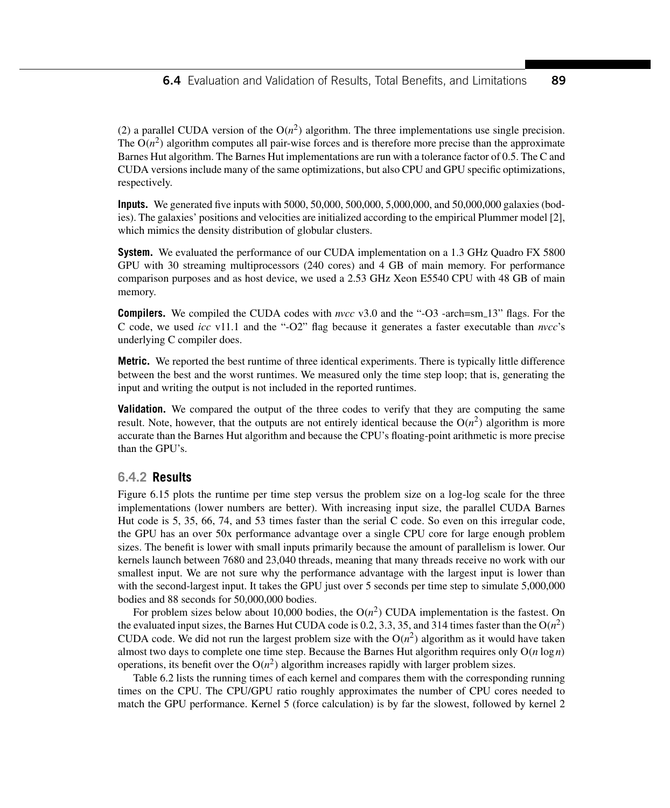(2) a parallel CUDA version of the  $O(n^2)$  algorithm. The three implementations use single precision. The  $O(n^2)$  algorithm computes all pair-wise forces and is therefore more precise than the approximate Barnes Hut algorithm. The Barnes Hut implementations are run with a tolerance factor of 0.5. The C and CUDA versions include many of the same optimizations, but also CPU and GPU specific optimizations, respectively.

**Inputs.** We generated five inputs with 5000, 50,000, 500,000, 5,000,000, and 50,000,000 galaxies (bodies). The galaxies' positions and velocities are initialized according to the empirical Plummer model [2], which mimics the density distribution of globular clusters.

**System.** We evaluated the performance of our CUDA implementation on a 1.3 GHz Quadro FX 5800 GPU with 30 streaming multiprocessors (240 cores) and 4 GB of main memory. For performance comparison purposes and as host device, we used a 2.53 GHz Xeon E5540 CPU with 48 GB of main memory.

**Compilers.** We compiled the CUDA codes with *nvcc* v3.0 and the "-O3 -arch=sm<sub>-1</sub>3" flags. For the C code, we used *icc* v11.1 and the "-O2" flag because it generates a faster executable than *nvcc*'s underlying C compiler does.

**Metric.** We reported the best runtime of three identical experiments. There is typically little difference between the best and the worst runtimes. We measured only the time step loop; that is, generating the input and writing the output is not included in the reported runtimes.

**Validation.** We compared the output of the three codes to verify that they are computing the same result. Note, however, that the outputs are not entirely identical because the  $O(n^2)$  algorithm is more accurate than the Barnes Hut algorithm and because the CPU's floating-point arithmetic is more precise than the GPU's.

## **6.4.2 Results**

Figure 6.15 plots the runtime per time step versus the problem size on a log-log scale for the three implementations (lower numbers are better). With increasing input size, the parallel CUDA Barnes Hut code is 5, 35, 66, 74, and 53 times faster than the serial C code. So even on this irregular code, the GPU has an over 50x performance advantage over a single CPU core for large enough problem sizes. The benefit is lower with small inputs primarily because the amount of parallelism is lower. Our kernels launch between 7680 and 23,040 threads, meaning that many threads receive no work with our smallest input. We are not sure why the performance advantage with the largest input is lower than with the second-largest input. It takes the GPU just over 5 seconds per time step to simulate 5,000,000 bodies and 88 seconds for 50,000,000 bodies.

For problem sizes below about 10,000 bodies, the  $O(n^2)$  CUDA implementation is the fastest. On the evaluated input sizes, the Barnes Hut CUDA code is 0.2, 3.3, 35, and 314 times faster than the  $O(n^2)$ CUDA code. We did not run the largest problem size with the  $O(n^2)$  algorithm as it would have taken almost two days to complete one time step. Because the Barnes Hut algorithm requires only O(*n* log*n*) operations, its benefit over the  $O(n^2)$  algorithm increases rapidly with larger problem sizes.

Table 6.2 lists the running times of each kernel and compares them with the corresponding running times on the CPU. The CPU/GPU ratio roughly approximates the number of CPU cores needed to match the GPU performance. Kernel 5 (force calculation) is by far the slowest, followed by kernel 2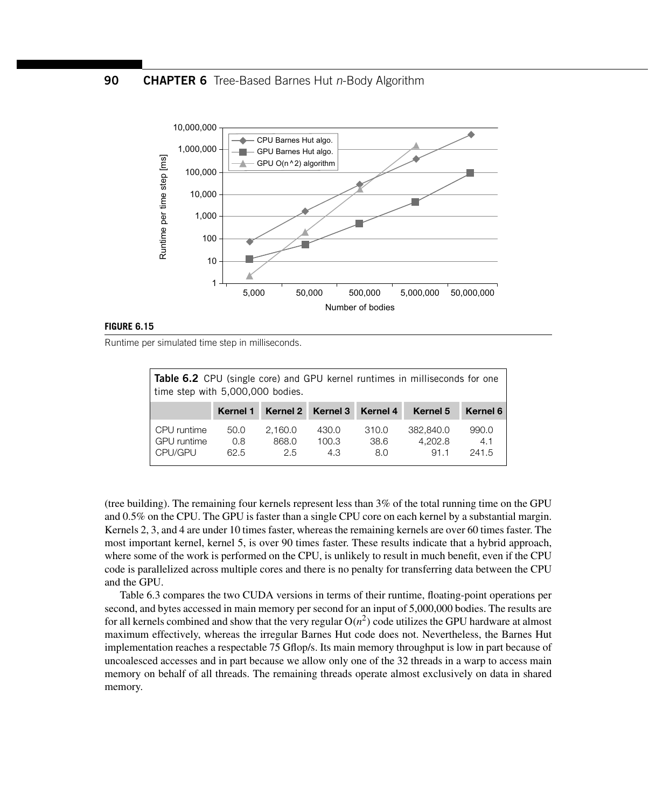

### **FIGURE 6.15**

Runtime per simulated time step in milliseconds.

| <b>Table 6.2</b> CPU (single core) and GPU kernel runtimes in milliseconds for one<br>time step with 5,000,000 bodies. |                     |                         |                       |                      |                              |                       |  |  |
|------------------------------------------------------------------------------------------------------------------------|---------------------|-------------------------|-----------------------|----------------------|------------------------------|-----------------------|--|--|
|                                                                                                                        | Kernel 1            |                         | Kernel 2 Kernel 3     | Kernel 4             | Kernel 5                     | Kernel 6              |  |  |
| CPU runtime<br><b>GPU</b> runtime<br>CPU/GPU                                                                           | 50.0<br>0.8<br>62.5 | 2.160.0<br>868.0<br>2.5 | 430.0<br>100.3<br>4.3 | 310.0<br>38.6<br>8.0 | 382,840.0<br>4,202.8<br>91.1 | 990.0<br>4.1<br>241.5 |  |  |

(tree building). The remaining four kernels represent less than 3% of the total running time on the GPU and 0.5% on the CPU. The GPU is faster than a single CPU core on each kernel by a substantial margin. Kernels 2, 3, and 4 are under 10 times faster, whereas the remaining kernels are over 60 times faster. The most important kernel, kernel 5, is over 90 times faster. These results indicate that a hybrid approach, where some of the work is performed on the CPU, is unlikely to result in much benefit, even if the CPU code is parallelized across multiple cores and there is no penalty for transferring data between the CPU and the GPU.

Table 6.3 compares the two CUDA versions in terms of their runtime, floating-point operations per second, and bytes accessed in main memory per second for an input of 5,000,000 bodies. The results are for all kernels combined and show that the very regular  $O(n^2)$  code utilizes the GPU hardware at almost maximum effectively, whereas the irregular Barnes Hut code does not. Nevertheless, the Barnes Hut implementation reaches a respectable 75 Gflop/s. Its main memory throughput is low in part because of uncoalesced accesses and in part because we allow only one of the 32 threads in a warp to access main memory on behalf of all threads. The remaining threads operate almost exclusively on data in shared memory.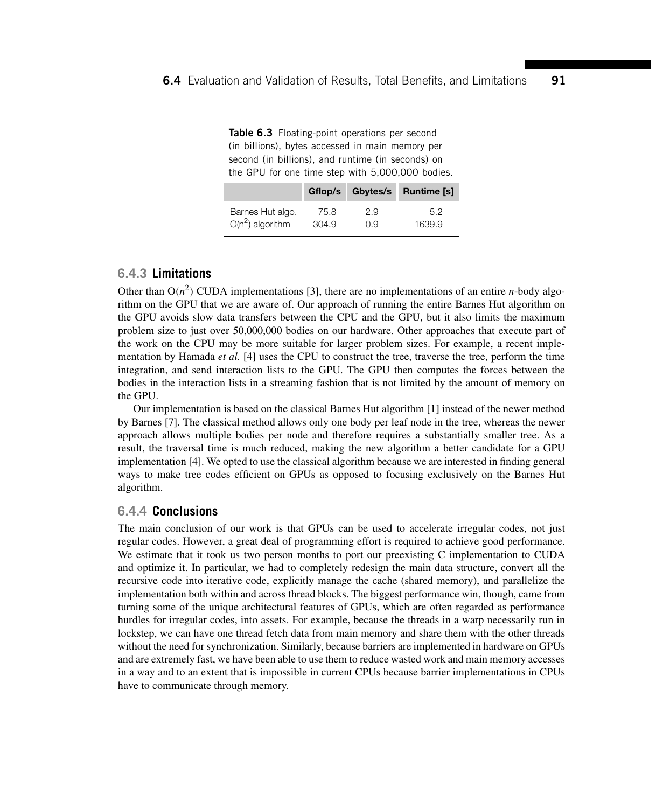| Table 6.3 Floating-point operations per second    |
|---------------------------------------------------|
| (in billions), bytes accessed in main memory per  |
| second (in billions), and runtime (in seconds) on |
| the GPU for one time step with 5,000,000 bodies.  |

|                    |       |     | Gflop/s Gbytes/s Runtime [s] |
|--------------------|-------|-----|------------------------------|
| Barnes Hut algo.   | 75.8  | 2.9 | 5.2                          |
| $O(n^2)$ algorithm | 304.9 | 0.9 | 1639.9                       |

# **6.4.3 Limitations**

Other than  $O(n^2)$  CUDA implementations [3], there are no implementations of an entire *n*-body algorithm on the GPU that we are aware of. Our approach of running the entire Barnes Hut algorithm on the GPU avoids slow data transfers between the CPU and the GPU, but it also limits the maximum problem size to just over 50,000,000 bodies on our hardware. Other approaches that execute part of the work on the CPU may be more suitable for larger problem sizes. For example, a recent implementation by Hamada *et al.* [4] uses the CPU to construct the tree, traverse the tree, perform the time integration, and send interaction lists to the GPU. The GPU then computes the forces between the bodies in the interaction lists in a streaming fashion that is not limited by the amount of memory on the GPU.

Our implementation is based on the classical Barnes Hut algorithm [1] instead of the newer method by Barnes [7]. The classical method allows only one body per leaf node in the tree, whereas the newer approach allows multiple bodies per node and therefore requires a substantially smaller tree. As a result, the traversal time is much reduced, making the new algorithm a better candidate for a GPU implementation [4]. We opted to use the classical algorithm because we are interested in finding general ways to make tree codes efficient on GPUs as opposed to focusing exclusively on the Barnes Hut algorithm.

### **6.4.4 Conclusions**

The main conclusion of our work is that GPUs can be used to accelerate irregular codes, not just regular codes. However, a great deal of programming effort is required to achieve good performance. We estimate that it took us two person months to port our preexisting C implementation to CUDA and optimize it. In particular, we had to completely redesign the main data structure, convert all the recursive code into iterative code, explicitly manage the cache (shared memory), and parallelize the implementation both within and across thread blocks. The biggest performance win, though, came from turning some of the unique architectural features of GPUs, which are often regarded as performance hurdles for irregular codes, into assets. For example, because the threads in a warp necessarily run in lockstep, we can have one thread fetch data from main memory and share them with the other threads without the need for synchronization. Similarly, because barriers are implemented in hardware on GPUs and are extremely fast, we have been able to use them to reduce wasted work and main memory accesses in a way and to an extent that is impossible in current CPUs because barrier implementations in CPUs have to communicate through memory.